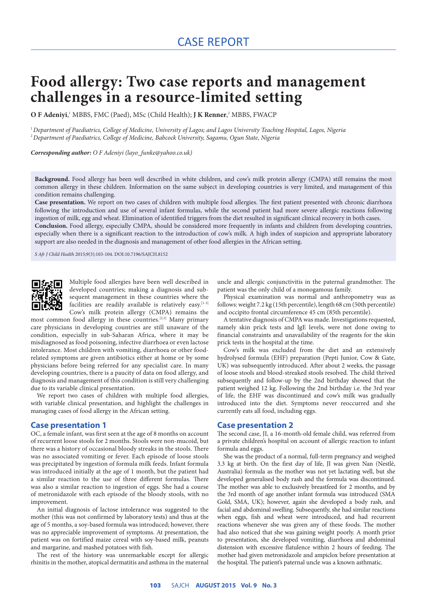# **Food allergy: Two case reports and management challenges in a resource-limited setting**

**O F Adeniyi**, 1 MBBS, FMC (Paed), MSc (Child Health); **J K Renner**, 2 MBBS, FWACP

1 *Department of Paediatrics, College of Medicine, University of Lagos; and Lagos University Teaching Hospital, Lagos, Nigeria* 2 *Department of Paediatrics, College of Medicine, Babcock University, Sagamu, Ogun State, Nigeria*

*Corresponding author: O F Adeniyi (layo\_funke@yahoo.co.uk)*

**Background.** Food allergy has been well described in white children, and cow's milk protein allergy (CMPA) still remains the most common allergy in these children. Information on the same subject in developing countries is very limited, and management of this condition remains challenging.

**Case presentation.** We report on two cases of children with multiple food allergies. The first patient presented with chronic diarrhoea following the introduction and use of several infant formulas, while the second patient had more severe allergic reactions following ingestion of milk, egg and wheat. Elimination of identified triggers from the diet resulted in significant clinical recovery in both cases.

**Conclusion.** Food allergy, especially CMPA, should be considered more frequently in infants and children from developing countries, especially when there is a significant reaction to the introduction of cow's milk. A high index of suspicion and appropriate laboratory support are also needed in the diagnosis and management of other food allergies in the African setting.

*S Afr J Child Health* 2015;9(3):103-104. DOI:10.7196/SAJCH.8152



Multiple food allergies have been well described in developed countries; making a diagnosis and subsequent management in these countries where the facilities are readily available is relatively easy.<sup>[1-3]</sup> Cow's milk protein allergy (CMPA) remains the

most common food allergy in these countries.<sup>[2,3]</sup> Many primary care physicians in developing countries are still unaware of the condition, especially in sub-Saharan Africa, where it may be misdiagnosed as food poisoning, infective diarrhoea or even lactose intolerance. Most children with vomiting, diarrhoea or other foodrelated symptoms are given antibiotics either at home or by some physicians before being referred for any specialist care. In many developing countries, there is a paucity of data on food allergy, and diagnosis and management of this condition is still very challenging due to its variable clinical presentation.

We report two cases of children with multiple food allergies, with variable clinical presentation, and highlight the challenges in managing cases of food allergy in the African setting.

#### **Case presentation 1**

OC, a female infant, was first seen at the age of 8 months on account of recurrent loose stools for 2 months. Stools were non-mucoid, but there was a history of occasional bloody streaks in the stools. There was no associated vomiting or fever. Each episode of loose stools was precipitated by ingestion of formula milk feeds. Infant formula was introduced initially at the age of 1 month, but the patient had a similar reaction to the use of three different formulas. There was also a similar reaction to ingestion of eggs. She had a course of metronidazole with each episode of the bloody stools, with no improvement.

An initial diagnosis of lactose intolerance was suggested to the mother (this was not confirmed by laboratory tests) and thus at the age of 5 months, a soy-based formula was introduced; however, there was no appreciable improvement of symptoms. At presentation, the patient was on fortified maize cereal with soy-based milk, peanuts and margarine, and mashed potatoes with fish.

The rest of the history was unremarkable except for allergic rhinitis in the mother, atopical dermatitis and asthma in the maternal uncle and allergic conjunctivitis in the paternal grandmother. The patient was the only child of a monogamous family.

Physical examination was normal and anthropometry was as follows: weight 7.2 kg (15th percentile), length 68 cm (50th percentile) and occipito frontal circumference 45 cm (85th percentile).

A tentative diagnosis of CMPA was made. Investigations requested, namely skin prick tests and IgE levels, were not done owing to financial constraints and unavailability of the reagents for the skin prick tests in the hospital at the time.

Cow's milk was excluded from the diet and an extensively hydrolysed formula (EHF) preparation (Pepti Junior, Cow & Gate, UK) was subsequently introduced. After about 2 weeks, the passage of loose stools and blood-streaked stools resolved. The child thrived subsequently and follow-up by the 2nd birthday showed that the patient weighed 12 kg. Following the 2nd birthday i.e. the 3rd year of life, the EHF was discontinued and cow's milk was gradually introduced into the diet. Symptoms never reoccurred and she currently eats all food, including eggs.

### **Case presentation 2**

The second case, JI, a 16-month-old female child, was referred from a private children's hospital on account of allergic reaction to infant formula and eggs.

She was the product of a normal, full-term pregnancy and weighed 3.3 kg at birth. On the first day of life, JI was given Nan (Nestlé, Australia) formula as the mother was not yet lactating well, but she developed generalised body rash and the formula was discontinued. The mother was able to exclusively breastfeed for 2 months, and by the 3rd month of age another infant formula was introduced (SMA Gold, SMA, UK); however, again she developed a body rash, and facial and abdominal swelling. Subsequently, she had similar reactions when eggs, fish and wheat were introduced, and had recurrent reactions whenever she was given any of these foods. The mother had also noticed that she was gaining weight poorly. A month prior to presentation, she developed vomiting, diarrhoea and abdominal distension with excessive flatulence within 2 hours of feeding. The mother had given metronidazole and ampiclox before presentation at the hospital. The patient's paternal uncle was a known asthmatic.